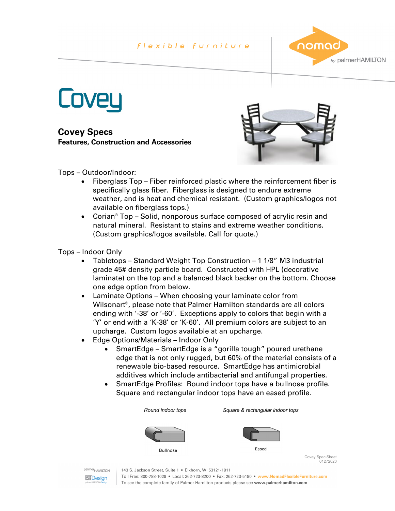## flexible furniture



**Coveu** 

**Covey Specs Features, Construction and Accessories**



Tops – Outdoor/Indoor:

- Fiberglass Top Fiber reinforced plastic where the reinforcement fiber is specifically glass fiber. Fiberglass is designed to endure extreme weather, and is heat and chemical resistant. (Custom graphics/logos not available on fiberglass tops.)
- Corian<sup>®</sup> Top Solid, nonporous surface composed of acrylic resin and natural mineral. Resistant to stains and extreme weather conditions. (Custom graphics/logos available. Call for quote.)

Tops – Indoor Only

- Tabletops Standard Weight Top Construction 1 1/8" M3 industrial grade 45# density particle board. Constructed with HPL (decorative laminate) on the top and a balanced black backer on the bottom. Choose one edge option from below.
- Laminate Options When choosing your laminate color from Wilsonart®, please note that Palmer Hamilton standards are all colors ending with '-38' or '-60'. Exceptions apply to colors that begin with a 'Y' or end with a 'K-38' or 'K-60'. All premium colors are subject to an upcharge. Custom logos available at an upcharge.
- Edge Options/Materials Indoor Only
	- SmartEdge SmartEdge is a "gorilla tough" poured urethane edge that is not only rugged, but 60% of the material consists of a renewable bio-based resource. SmartEdge has antimicrobial additives which include antibacterial and antifungal properties.
	- SmartEdge Profiles: Round indoor tops have a bullnose profile. Square and rectangular indoor tops have an eased profile.

*Round indoor tops Square & rectangular indoor tops***Bullnose** 



Covey Spec Sheet բ--<br>01272020

palmer<sub>HAMILTON</sub> **PFDesign** 

143 S. Jackson Street, Suite 1 · Elkhorn, WI 53121-1911

Toll Free: 800-788-1028 • Local: 262-723-8200 • Fax: 262-723-5180 • www.NomadFlexibleFurniture.com To see the complete family of Palmer Hamilton products please see www.palmerhamilton.com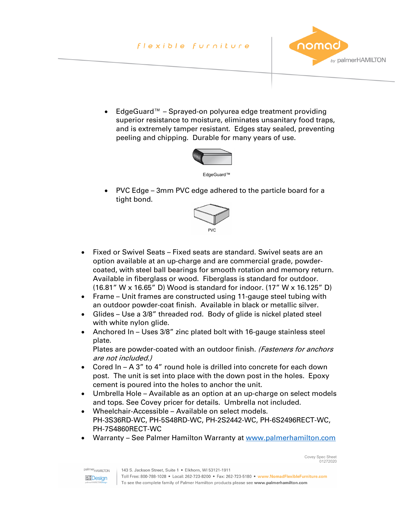## flexible furniture



Covey Spec Sheet 01272020

• EdgeGuard™ – Sprayed-on polyurea edge treatment providing superior resistance to moisture, eliminates unsanitary food traps, and is extremely tamper resistant. Edges stay sealed, preventing peeling and chipping. Durable for many years of use.



• PVC Edge – 3mm PVC edge adhered to the particle board for a tight bond.



- Fixed or Swivel Seats Fixed seats are standard. Swivel seats are an option available at an up-charge and are commercial grade, powdercoated, with steel ball bearings for smooth rotation and memory return. Available in fiberglass or wood. Fiberglass is standard for outdoor. (16.81" W x 16.65" D) Wood is standard for indoor. (17" W x 16.125" D)
- Frame Unit frames are constructed using 11-gauge steel tubing with an outdoor powder-coat finish. Available in black or metallic silver.
- Glides Use a 3/8" threaded rod. Body of glide is nickel plated steel with white nylon glide.
- Anchored In Uses 3/8" zinc plated bolt with 16-gauge stainless steel plate.

Plates are powder-coated with an outdoor finish. (Fasteners for anchors are not included.)

- Cored In A 3" to 4" round hole is drilled into concrete for each down post. The unit is set into place with the down post in the holes. Epoxy cement is poured into the holes to anchor the unit.
- Umbrella Hole Available as an option at an up-charge on select models and tops. See Covey pricer for details. Umbrella not included.
- Wheelchair-Accessible Available on select models. PH-3S36RD-WC, PH-5S48RD-WC, PH-2S2442-WC, PH-6S2496RECT-WC, PH-7S4860RECT-WC
- Warranty See Palmer Hamilton Warranty at [www.palmerhamilton.com](http://www.palmerhamilton.com/)

143 S. Jackson Street, Suite 1 . Elkhorn, WI 53121-1911

Toll Free: 800-788-1028 • Local: 262-723-8200 • Fax: 262-723-5180 • www.NomadFlexibleFurniture.com To see the complete family of Palmer Hamilton products please see www.palmerhamilton.com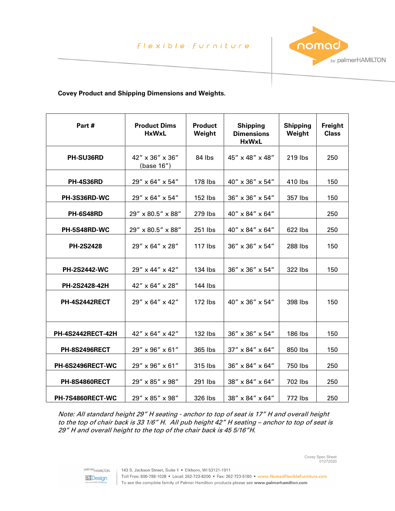

Covey Spec Sheet 01272020

## **Covey Product and Shipping Dimensions and Weights.**

| Part#                    | <b>Product Dims</b><br><b>HxWxL</b> | <b>Product</b><br>Weight | <b>Shipping</b><br><b>Dimensions</b><br><b>HxWxL</b> | <b>Shipping</b><br>Weight | Freight<br><b>Class</b> |
|--------------------------|-------------------------------------|--------------------------|------------------------------------------------------|---------------------------|-------------------------|
| PH-SU36RD                | 42" x 36" x 36"<br>(base 16")       | 84 lbs                   | 45" x 48" x 48"                                      | 219 lbs                   | 250                     |
| <b>PH-4S36RD</b>         | 29" x 64" x 54"                     | 178 lbs                  | 40" x 36" x 54"                                      | 410 lbs                   | 150                     |
| PH-3S36RD-WC             | 29" x 64" x 54"                     | 152 lbs                  | 36" x 36" x 54"                                      | 357 lbs                   | 150                     |
| <b>PH-6S48RD</b>         | 29" x 80.5" x 88"                   | 279 lbs                  | 40" x 84" x 64"                                      |                           | 250                     |
| PH-5S48RD-WC             | 29" x 80.5" x 88"                   | 251 lbs                  | 40" x 84" x 64"                                      | 622 lbs                   | 250                     |
| <b>PH-2S2428</b>         | 29" x 64" x 28"                     | 117 lbs                  | 36" x 36" x 54"                                      | 288 lbs                   | 150                     |
| <b>PH-2S2442-WC</b>      | 29" x 44" x 42"                     | 134 lbs                  | 36" x 36" x 54"                                      | 322 lbs                   | 150                     |
| PH-2S2428-42H            | 42" x 64" x 28"                     | 144 lbs                  |                                                      |                           |                         |
| <b>PH-4S2442RECT</b>     | 29" x 64" x 42"                     | 172 lbs                  | $40'' \times 36'' \times 54''$                       | 398 lbs                   | 150                     |
| <b>PH-4S2442RECT-42H</b> | 42" x 64" x 42"                     | 132 lbs                  | 36" x 36" x 54"                                      | 186 lbs                   | 150                     |
| <b>PH-8S2496RECT</b>     | 29" x 96" x 61"                     | 365 lbs                  | 37" x 84" x 64"                                      | 850 lbs                   | 150                     |
| PH-6S2496RECT-WC         | 29" x 96" x 61"                     | 315 lbs                  | 36" x 84" x 64"                                      | 750 lbs                   | 250                     |
| <b>PH-8S4860RECT</b>     | 29" x 85" x 98"                     | 291 lbs                  | 38" x 84" x 64"                                      | 702 lbs                   | 250                     |
| PH-7S4860RECT-WC         | 29" x 85" x 98"                     | 326 lbs                  | 38" x 84" x 64"                                      | 772 lbs                   | 250                     |

Note: All standard height 29" H seating - anchor to top of seat is 17" H and overall height to the top of chair back is 33 1/6" H. All pub height 42" H seating – anchor to top of seat is 29" H and overall height to the top of the chair back is 45 5/16"H.